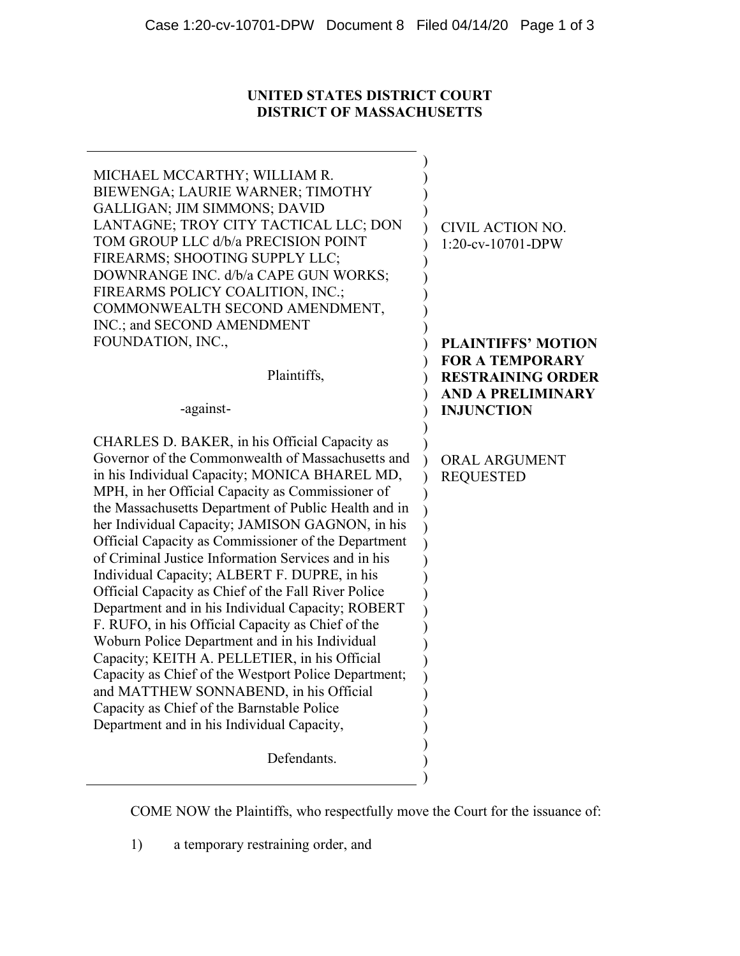# **UNITED STATES DISTRICT COURT DISTRICT OF MASSACHUSETTS**

| MICHAEL MCCARTHY; WILLIAM R.<br>BIEWENGA; LAURIE WARNER; TIMOTHY<br><b>GALLIGAN; JIM SIMMONS; DAVID</b><br>LANTAGNE; TROY CITY TACTICAL LLC; DON<br>TOM GROUP LLC d/b/a PRECISION POINT<br>FIREARMS; SHOOTING SUPPLY LLC;<br>DOWNRANGE INC. d/b/a CAPE GUN WORKS;<br>FIREARMS POLICY COALITION, INC.;<br>COMMONWEALTH SECOND AMENDMENT,<br>INC.; and SECOND AMENDMENT                                                                                                                                                                                                                                                                                                                                                                                                                                                                                                                                                                              | CIVIL ACTION NO.<br>$1:20$ -cv-10701-DPW                                                            |
|----------------------------------------------------------------------------------------------------------------------------------------------------------------------------------------------------------------------------------------------------------------------------------------------------------------------------------------------------------------------------------------------------------------------------------------------------------------------------------------------------------------------------------------------------------------------------------------------------------------------------------------------------------------------------------------------------------------------------------------------------------------------------------------------------------------------------------------------------------------------------------------------------------------------------------------------------|-----------------------------------------------------------------------------------------------------|
| FOUNDATION, INC.,                                                                                                                                                                                                                                                                                                                                                                                                                                                                                                                                                                                                                                                                                                                                                                                                                                                                                                                                  | <b>PLAINTIFFS' MOTION</b>                                                                           |
| Plaintiffs,<br>-against-                                                                                                                                                                                                                                                                                                                                                                                                                                                                                                                                                                                                                                                                                                                                                                                                                                                                                                                           | <b>FOR A TEMPORARY</b><br><b>RESTRAINING ORDER</b><br><b>AND A PRELIMINARY</b><br><b>INJUNCTION</b> |
|                                                                                                                                                                                                                                                                                                                                                                                                                                                                                                                                                                                                                                                                                                                                                                                                                                                                                                                                                    |                                                                                                     |
| CHARLES D. BAKER, in his Official Capacity as<br>Governor of the Commonwealth of Massachusetts and<br>in his Individual Capacity; MONICA BHAREL MD,<br>MPH, in her Official Capacity as Commissioner of<br>the Massachusetts Department of Public Health and in<br>her Individual Capacity; JAMISON GAGNON, in his<br>Official Capacity as Commissioner of the Department<br>of Criminal Justice Information Services and in his<br>Individual Capacity; ALBERT F. DUPRE, in his<br>Official Capacity as Chief of the Fall River Police<br>Department and in his Individual Capacity; ROBERT<br>F. RUFO, in his Official Capacity as Chief of the<br>Woburn Police Department and in his Individual<br>Capacity; KEITH A. PELLETIER, in his Official<br>Capacity as Chief of the Westport Police Department;<br>and MATTHEW SONNABEND, in his Official<br>Capacity as Chief of the Barnstable Police<br>Department and in his Individual Capacity, | <b>ORAL ARGUMENT</b><br><b>REQUESTED</b>                                                            |
| Defendants.                                                                                                                                                                                                                                                                                                                                                                                                                                                                                                                                                                                                                                                                                                                                                                                                                                                                                                                                        |                                                                                                     |

COME NOW the Plaintiffs, who respectfully move the Court for the issuance of:

1) a temporary restraining order, and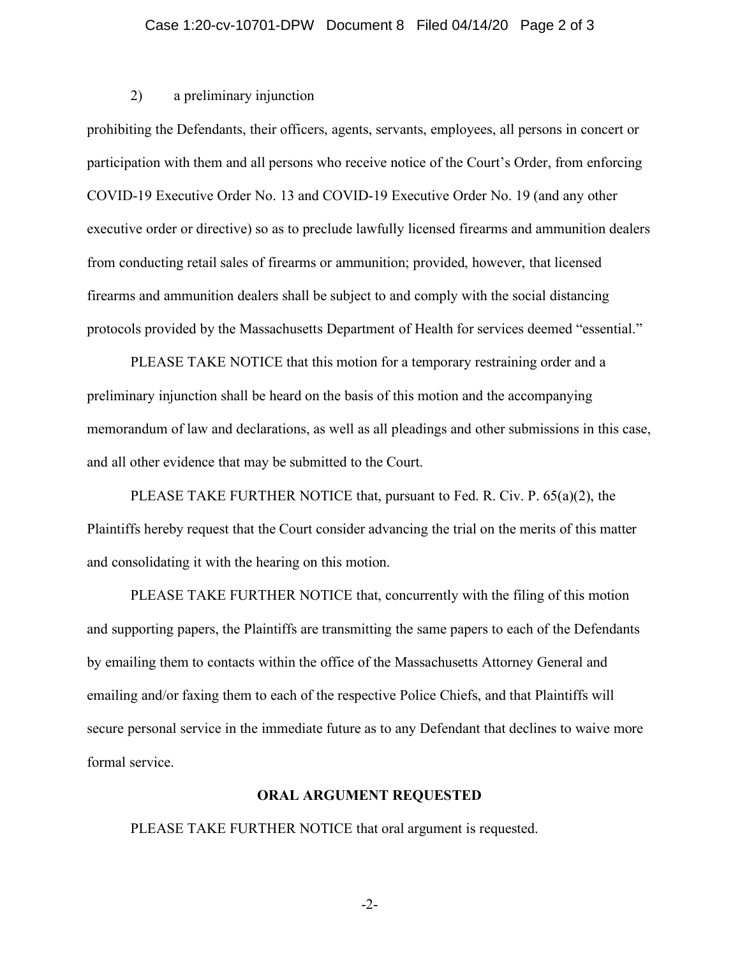#### Case 1:20-cv-10701-DPW Document 8 Filed 04/14/20 Page 2 of 3

### 2) a preliminary injunction

prohibiting the Defendants, their officers, agents, servants, employees, all persons in concert or participation with them and all persons who receive notice of the Court's Order, from enforcing COVID-19 Executive Order No. 13 and COVID-19 Executive Order No. 19 (and any other executive order or directive) so as to preclude lawfully licensed firearms and ammunition dealers from conducting retail sales of firearms or ammunition; provided, however, that licensed firearms and ammunition dealers shall be subject to and comply with the social distancing protocols provided by the Massachusetts Department of Health for services deemed "essential."

PLEASE TAKE NOTICE that this motion for a temporary restraining order and a preliminary injunction shall be heard on the basis of this motion and the accompanying memorandum of law and declarations, as well as all pleadings and other submissions in this case, and all other evidence that may be submitted to the Court.

PLEASE TAKE FURTHER NOTICE that, pursuant to Fed. R. Civ. P. 65(a)(2), the Plaintiffs hereby request that the Court consider advancing the trial on the merits of this matter and consolidating it with the hearing on this motion.

PLEASE TAKE FURTHER NOTICE that, concurrently with the filing of this motion and supporting papers, the Plaintiffs are transmitting the same papers to each of the Defendants by emailing them to contacts within the office of the Massachusetts Attorney General and emailing and/or faxing them to each of the respective Police Chiefs, and that Plaintiffs will secure personal service in the immediate future as to any Defendant that declines to waive more formal service.

### **ORAL ARGUMENT REQUESTED**

PLEASE TAKE FURTHER NOTICE that oral argument is requested.

-2-